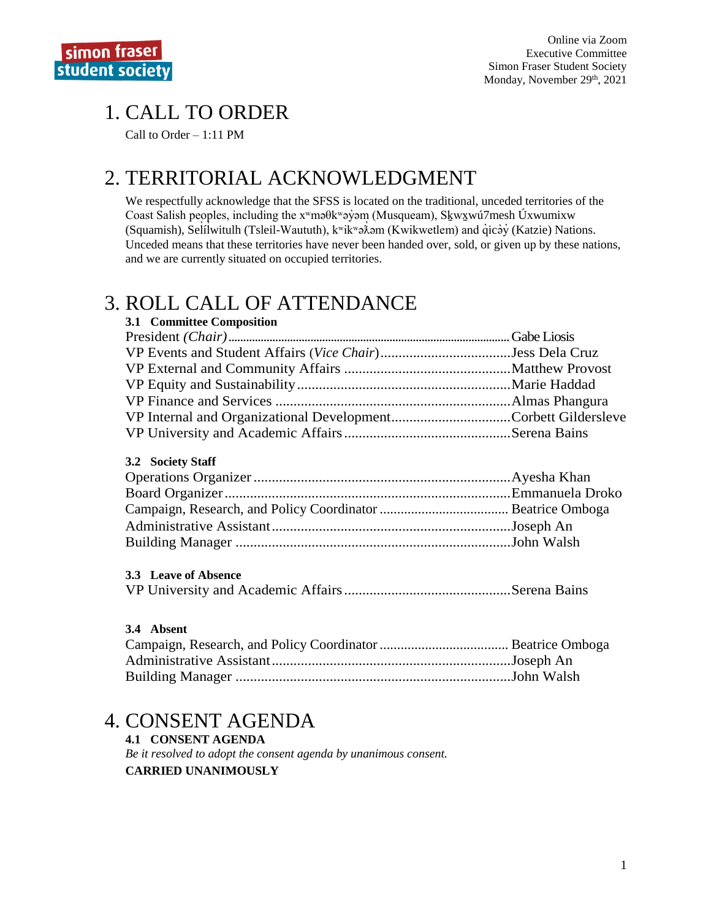# 1. CALL TO ORDER

Call to Order – 1:11 PM

# 2. TERRITORIAL ACKNOWLEDGMENT

We respectfully acknowledge that the SFSS is located on the traditional, unceded territories of the Coast Salish peoples, including the xʷməθkʷəy̓əm (Musqueam), Sḵwx̱wú7mesh Úxwumixw (Squamish), Selilwitulh (Tsleil-Waututh), kwikwə $\lambda$ əm (Kwikwetlem) and qıcəy (Katzie) Nations. ̓ Unceded means that these territories have never been handed over, sold, or given up by these nations, and we are currently situated on occupied territories.

# 3. ROLL CALL OF ATTENDANCE

| 3.1 Committee Composition |  |
|---------------------------|--|
|                           |  |
|                           |  |
|                           |  |
|                           |  |
|                           |  |
|                           |  |
|                           |  |
| 3.2 Society Staff         |  |
|                           |  |
|                           |  |
|                           |  |
|                           |  |
|                           |  |

### **3.3 Leave of Absence**

|--|--|--|

### **3.4 Absent**

## 4. CONSENT AGENDA

### **4.1 CONSENT AGENDA**

*Be it resolved to adopt the consent agenda by unanimous consent.* **CARRIED UNANIMOUSLY**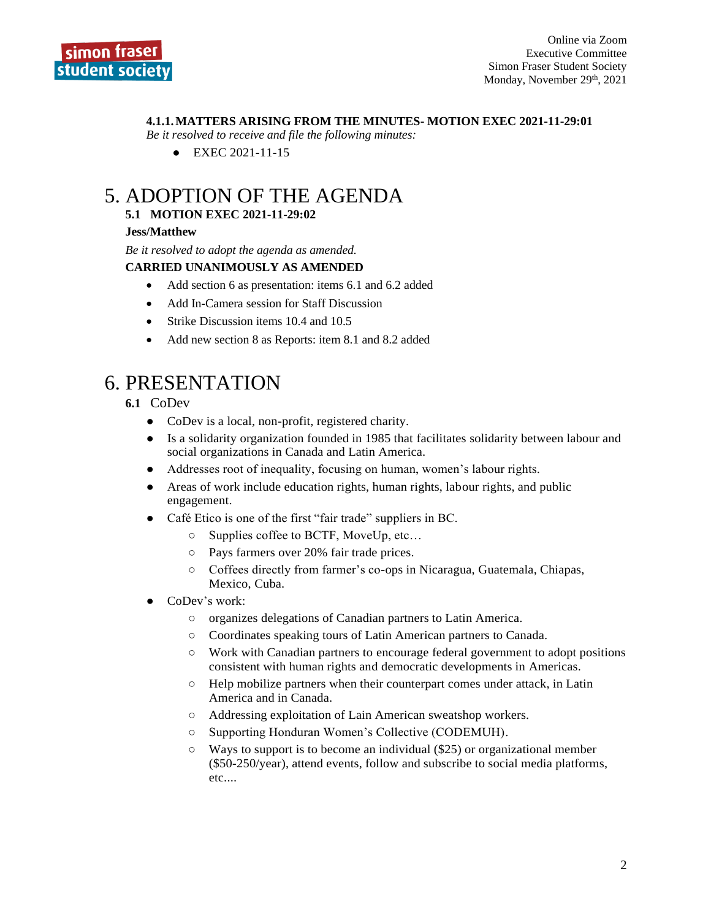### **4.1.1.MATTERS ARISING FROM THE MINUTES- MOTION EXEC 2021-11-29:01**

*Be it resolved to receive and file the following minutes:*

● EXEC 2021-11-15

# 5. ADOPTION OF THE AGENDA

### **5.1 MOTION EXEC 2021-11-29:02**

### **Jess/Matthew**

*Be it resolved to adopt the agenda as amended.*

### **CARRIED UNANIMOUSLY AS AMENDED**

- Add section 6 as presentation: items 6.1 and 6.2 added
- Add In-Camera session for Staff Discussion
- Strike Discussion items 10.4 and 10.5
- Add new section 8 as Reports: item 8.1 and 8.2 added

# 6. PRESENTATION

### **6.1** CoDev

- CoDev is a local, non-profit, registered charity.
- Is a solidarity organization founded in 1985 that facilitates solidarity between labour and social organizations in Canada and Latin America.
- Addresses root of inequality, focusing on human, women's labour rights.
- Areas of work include education rights, human rights, labour rights, and public engagement.
- Café Etico is one of the first "fair trade" suppliers in BC.
	- Supplies coffee to BCTF, MoveUp, etc…
	- Pays farmers over 20% fair trade prices.
	- Coffees directly from farmer's co-ops in Nicaragua, Guatemala, Chiapas, Mexico, Cuba.
- CoDev's work:
	- organizes delegations of Canadian partners to Latin America.
	- Coordinates speaking tours of Latin American partners to Canada.
	- Work with Canadian partners to encourage federal government to adopt positions consistent with human rights and democratic developments in Americas.
	- Help mobilize partners when their counterpart comes under attack, in Latin America and in Canada.
	- Addressing exploitation of Lain American sweatshop workers.
	- Supporting Honduran Women's Collective (CODEMUH).
	- $\circ$  Ways to support is to become an individual (\$25) or organizational member (\$50-250/year), attend events, follow and subscribe to social media platforms, etc....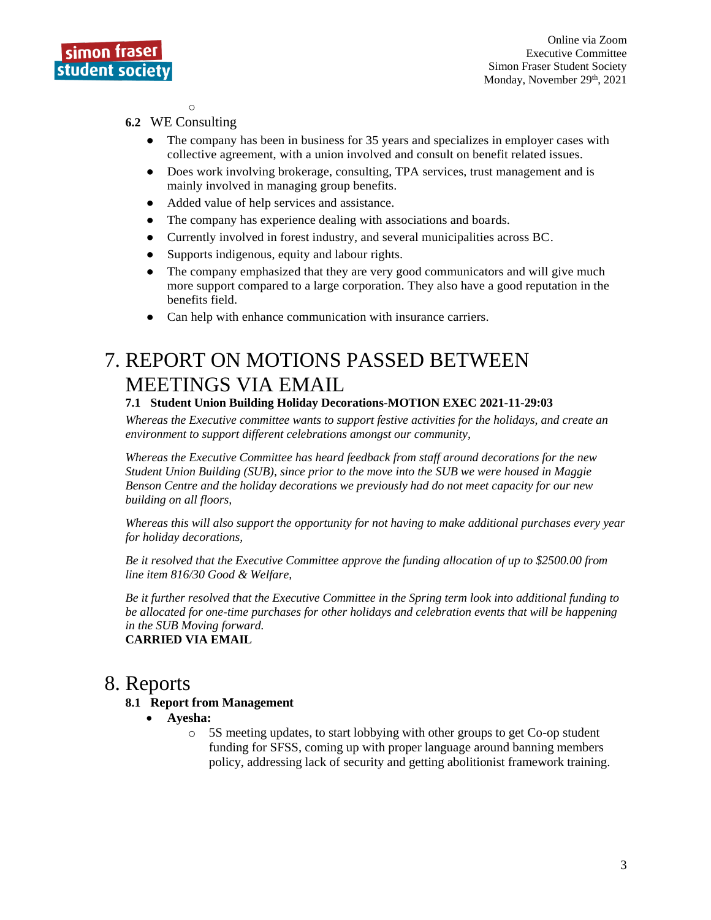

 $\circ$ 

### **6.2** WE Consulting

- The company has been in business for 35 years and specializes in employer cases with collective agreement, with a union involved and consult on benefit related issues.
- Does work involving brokerage, consulting, TPA services, trust management and is mainly involved in managing group benefits.
- Added value of help services and assistance.
- The company has experience dealing with associations and boards.
- Currently involved in forest industry, and several municipalities across BC.
- Supports indigenous, equity and labour rights.
- The company emphasized that they are very good communicators and will give much more support compared to a large corporation. They also have a good reputation in the benefits field.
- Can help with enhance communication with insurance carriers.

# 7. REPORT ON MOTIONS PASSED BETWEEN MEETINGS VIA EMAIL

### **7.1 Student Union Building Holiday Decorations-MOTION EXEC 2021-11-29:03**

*Whereas the Executive committee wants to support festive activities for the holidays, and create an environment to support different celebrations amongst our community,*

*Whereas the Executive Committee has heard feedback from staff around decorations for the new Student Union Building (SUB), since prior to the move into the SUB we were housed in Maggie Benson Centre and the holiday decorations we previously had do not meet capacity for our new building on all floors,*

*Whereas this will also support the opportunity for not having to make additional purchases every year for holiday decorations,*

*Be it resolved that the Executive Committee approve the funding allocation of up to \$2500.00 from line item 816/30 Good & Welfare,*

*Be it further resolved that the Executive Committee in the Spring term look into additional funding to be allocated for one-time purchases for other holidays and celebration events that will be happening in the SUB Moving forward.*

**CARRIED VIA EMAIL**

## 8. Reports

### **8.1 Report from Management**

- **Ayesha:**
	- o 5S meeting updates, to start lobbying with other groups to get Co-op student funding for SFSS, coming up with proper language around banning members policy, addressing lack of security and getting abolitionist framework training.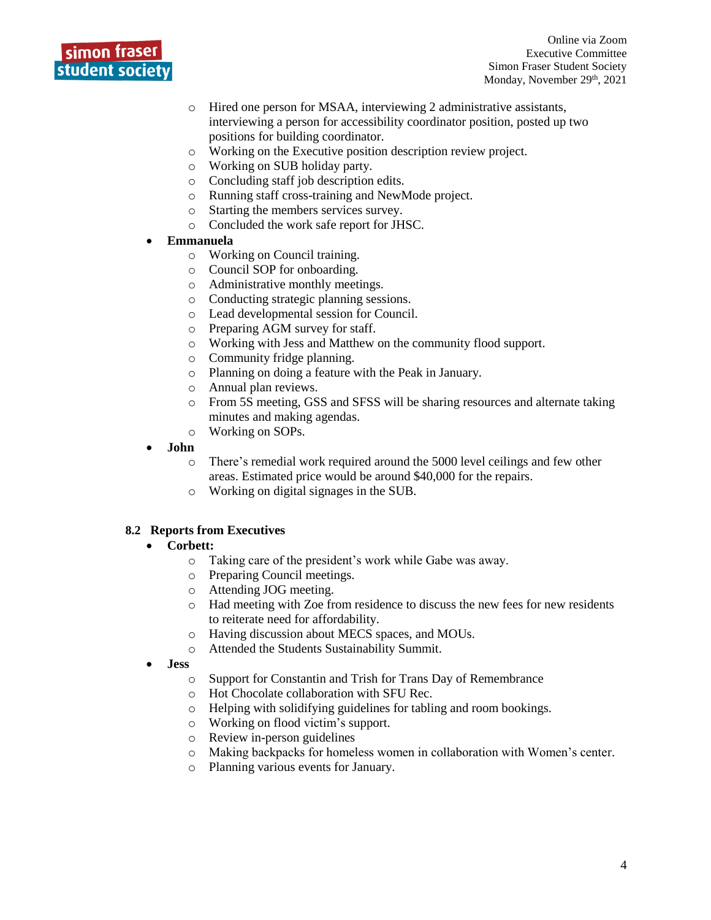

- o Hired one person for MSAA, interviewing 2 administrative assistants, interviewing a person for accessibility coordinator position, posted up two positions for building coordinator.
- o Working on the Executive position description review project.
- o Working on SUB holiday party.
- o Concluding staff job description edits.
- o Running staff cross-training and NewMode project.
- o Starting the members services survey.
- o Concluded the work safe report for JHSC.
- **Emmanuela**
	- o Working on Council training.
	- o Council SOP for onboarding.
	- o Administrative monthly meetings.
	- o Conducting strategic planning sessions.
	- o Lead developmental session for Council.
	- o Preparing AGM survey for staff.
	- o Working with Jess and Matthew on the community flood support.
	- o Community fridge planning.
	- o Planning on doing a feature with the Peak in January.
	- o Annual plan reviews.
	- o From 5S meeting, GSS and SFSS will be sharing resources and alternate taking minutes and making agendas.
	- o Working on SOPs.
- **John**
	- o There's remedial work required around the 5000 level ceilings and few other areas. Estimated price would be around \$40,000 for the repairs.
	- o Working on digital signages in the SUB.

### **8.2 Reports from Executives**

### • **Corbett:**

- o Taking care of the president's work while Gabe was away.
- o Preparing Council meetings.
- o Attending JOG meeting.
- o Had meeting with Zoe from residence to discuss the new fees for new residents to reiterate need for affordability.
- o Having discussion about MECS spaces, and MOUs.
- o Attended the Students Sustainability Summit.
- **Jess**
	- o Support for Constantin and Trish for Trans Day of Remembrance
	- o Hot Chocolate collaboration with SFU Rec.
	- o Helping with solidifying guidelines for tabling and room bookings.
	- o Working on flood victim's support.
	- o Review in-person guidelines
	- o Making backpacks for homeless women in collaboration with Women's center.
	- o Planning various events for January.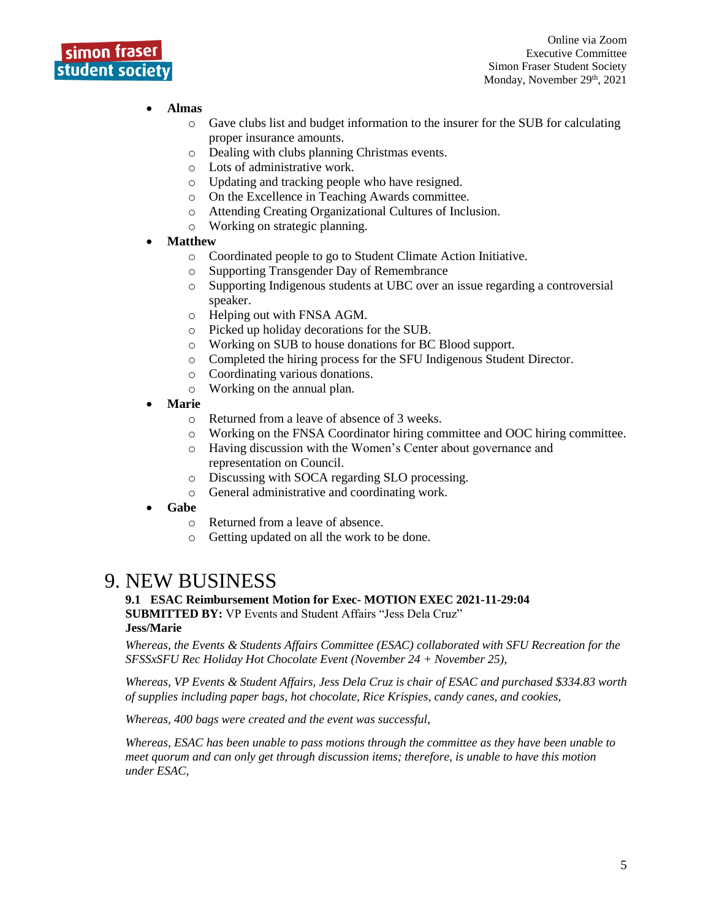

### • **Almas**

- o Gave clubs list and budget information to the insurer for the SUB for calculating proper insurance amounts.
- o Dealing with clubs planning Christmas events.
- o Lots of administrative work.
- o Updating and tracking people who have resigned.
- o On the Excellence in Teaching Awards committee.
- o Attending Creating Organizational Cultures of Inclusion.
- o Working on strategic planning.

### • **Matthew**

- o Coordinated people to go to Student Climate Action Initiative.
- o Supporting Transgender Day of Remembrance
- o Supporting Indigenous students at UBC over an issue regarding a controversial speaker.
- o Helping out with FNSA AGM.
- o Picked up holiday decorations for the SUB.
- o Working on SUB to house donations for BC Blood support.
- o Completed the hiring process for the SFU Indigenous Student Director.
- o Coordinating various donations.
- o Working on the annual plan.
- **Marie**
	- o Returned from a leave of absence of 3 weeks.
	- o Working on the FNSA Coordinator hiring committee and OOC hiring committee.
	- o Having discussion with the Women's Center about governance and representation on Council.
	- o Discussing with SOCA regarding SLO processing.
	- o General administrative and coordinating work.
- **Gabe**
	- o Returned from a leave of absence.
	- o Getting updated on all the work to be done.

## 9. NEW BUSINESS

#### **9.1 ESAC Reimbursement Motion for Exec- MOTION EXEC 2021-11-29:04 SUBMITTED BY:** VP Events and Student Affairs "Jess Dela Cruz" **Jess/Marie**

*Whereas, the Events & Students Affairs Committee (ESAC) collaborated with SFU Recreation for the SFSSxSFU Rec Holiday Hot Chocolate Event (November 24 + November 25),*

*Whereas, VP Events & Student Affairs, Jess Dela Cruz is chair of ESAC and purchased \$334.83 worth of supplies including paper bags, hot chocolate, Rice Krispies, candy canes, and cookies,*

*Whereas, 400 bags were created and the event was successful,*

*Whereas, ESAC has been unable to pass motions through the committee as they have been unable to meet quorum and can only get through discussion items; therefore, is unable to have this motion under ESAC,*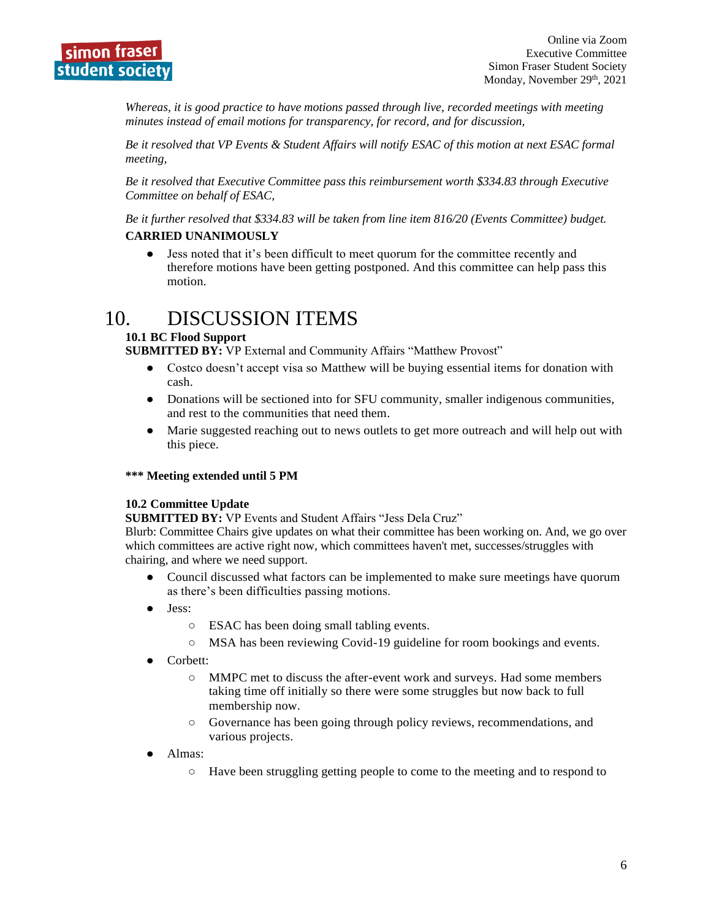

*Whereas, it is good practice to have motions passed through live, recorded meetings with meeting minutes instead of email motions for transparency, for record, and for discussion,* 

*Be it resolved that VP Events & Student Affairs will notify ESAC of this motion at next ESAC formal meeting,*

*Be it resolved that Executive Committee pass this reimbursement worth \$334.83 through Executive Committee on behalf of ESAC,*

*Be it further resolved that \$334.83 will be taken from line item 816/20 (Events Committee) budget.*

### **CARRIED UNANIMOUSLY**

● Jess noted that it's been difficult to meet quorum for the committee recently and therefore motions have been getting postponed. And this committee can help pass this motion.

## 10. DISCUSSION ITEMS

### **10.1 BC Flood Support**

**SUBMITTED BY:** VP External and Community Affairs "Matthew Provost"

- Costco doesn't accept visa so Matthew will be buying essential items for donation with cash.
- Donations will be sectioned into for SFU community, smaller indigenous communities, and rest to the communities that need them.
- Marie suggested reaching out to news outlets to get more outreach and will help out with this piece.

### **\*\*\* Meeting extended until 5 PM**

### **10.2 Committee Update**

**SUBMITTED BY:** VP Events and Student Affairs "Jess Dela Cruz"

Blurb: Committee Chairs give updates on what their committee has been working on. And, we go over which committees are active right now, which committees haven't met, successes/struggles with chairing, and where we need support.

- Council discussed what factors can be implemented to make sure meetings have quorum as there's been difficulties passing motions.
- Jess:
	- ESAC has been doing small tabling events.
	- MSA has been reviewing Covid-19 guideline for room bookings and events.
- Corbett:
	- MMPC met to discuss the after-event work and surveys. Had some members taking time off initially so there were some struggles but now back to full membership now.
	- Governance has been going through policy reviews, recommendations, and various projects.
- Almas:
	- Have been struggling getting people to come to the meeting and to respond to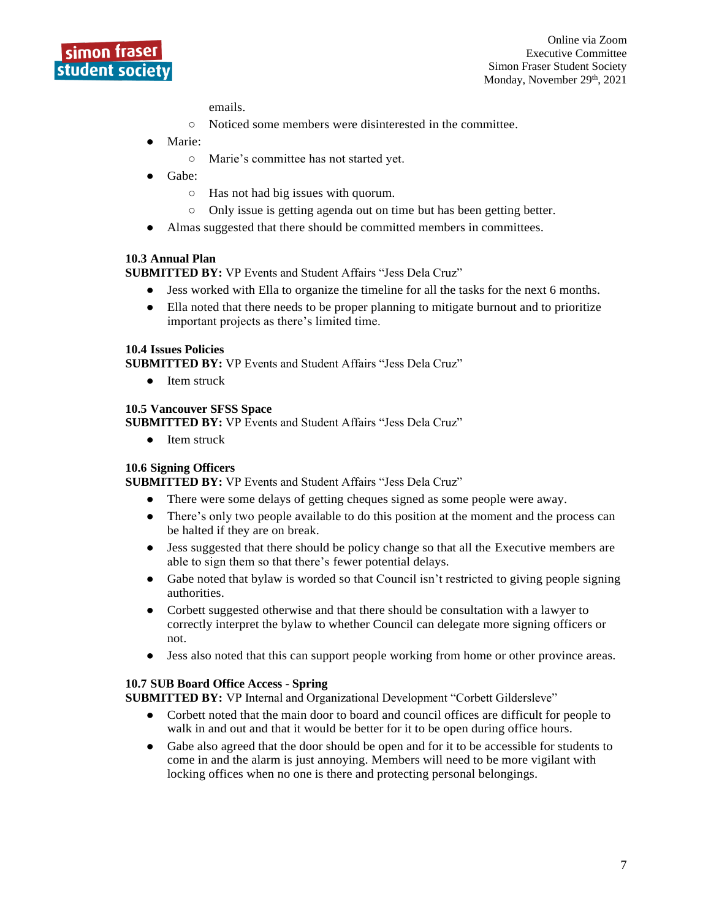

emails.

- Noticed some members were disinterested in the committee.
- Marie:
	- Marie's committee has not started yet.
- Gabe:
	- Has not had big issues with quorum.
	- Only issue is getting agenda out on time but has been getting better.
- Almas suggested that there should be committed members in committees.

#### **10.3 Annual Plan**

**SUBMITTED BY:** VP Events and Student Affairs "Jess Dela Cruz"

- Jess worked with Ella to organize the timeline for all the tasks for the next 6 months.
- Ella noted that there needs to be proper planning to mitigate burnout and to prioritize important projects as there's limited time.

#### **10.4 Issues Policies**

**SUBMITTED BY:** VP Events and Student Affairs "Jess Dela Cruz"

● Item struck

#### **10.5 Vancouver SFSS Space**

**SUBMITTED BY:** VP Events and Student Affairs "Jess Dela Cruz"

● Item struck

#### **10.6 Signing Officers**

**SUBMITTED BY:** VP Events and Student Affairs "Jess Dela Cruz"

- There were some delays of getting cheques signed as some people were away.
- There's only two people available to do this position at the moment and the process can be halted if they are on break.
- Jess suggested that there should be policy change so that all the Executive members are able to sign them so that there's fewer potential delays.
- Gabe noted that bylaw is worded so that Council isn't restricted to giving people signing authorities.
- Corbett suggested otherwise and that there should be consultation with a lawyer to correctly interpret the bylaw to whether Council can delegate more signing officers or not.
- Jess also noted that this can support people working from home or other province areas.

#### **10.7 SUB Board Office Access - Spring**

**SUBMITTED BY:** VP Internal and Organizational Development "Corbett Gildersleve"

- Corbett noted that the main door to board and council offices are difficult for people to walk in and out and that it would be better for it to be open during office hours.
- Gabe also agreed that the door should be open and for it to be accessible for students to come in and the alarm is just annoying. Members will need to be more vigilant with locking offices when no one is there and protecting personal belongings.